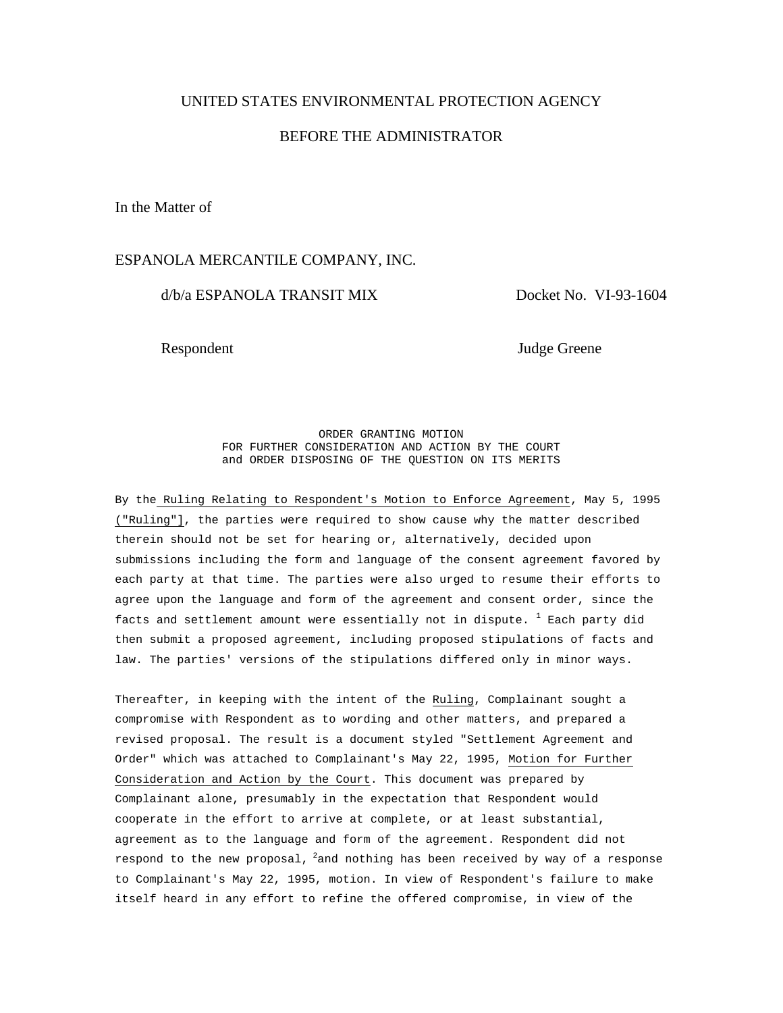## UNITED STATES ENVIRONMENTAL PROTECTION AGENCY

# BEFORE THE ADMINISTRATOR

In the Matter of

## ESPANOLA MERCANTILE COMPANY, INC.

# d/b/a ESPANOLA TRANSIT MIX Docket No. VI-93-1604

Respondent Judge Greene

ORDER GRANTING MOTION FOR FURTHER CONSIDERATION AND ACTION BY THE COURT and ORDER DISPOSING OF THE QUESTION ON ITS MERITS

By the Ruling Relating to Respondent's Motion to Enforce Agreement, May 5, 1995 ("Ruling"], the parties were required to show cause why the matter described therein should not be set for hearing or, alternatively, decided upon submissions including the form and language of the consent agreement favored by each party at that time. The parties were also urged to resume their efforts to agree upon the language and form of the agreement and consent order, since the facts and settlement amount were essentially not in dispute.  $^{\mathrm{1}}$  Each party did then submit a proposed agreement, including proposed stipulations of facts and law. The parties' versions of the stipulations differed only in minor ways.

Thereafter, in keeping with the intent of the Ruling, Complainant sought a compromise with Respondent as to wording and other matters, and prepared a revised proposal. The result is a document styled "Settlement Agreement and Order" which was attached to Complainant's May 22, 1995, Motion for Further Consideration and Action by the Court. This document was prepared by Complainant alone, presumably in the expectation that Respondent would cooperate in the effort to arrive at complete, or at least substantial, agreement as to the language and form of the agreement. Respondent did not respond to the new proposal,  $^{2}$  and nothing has been received by way of a response to Complainant's May 22, 1995, motion. In view of Respondent's failure to make itself heard in any effort to refine the offered compromise, in view of the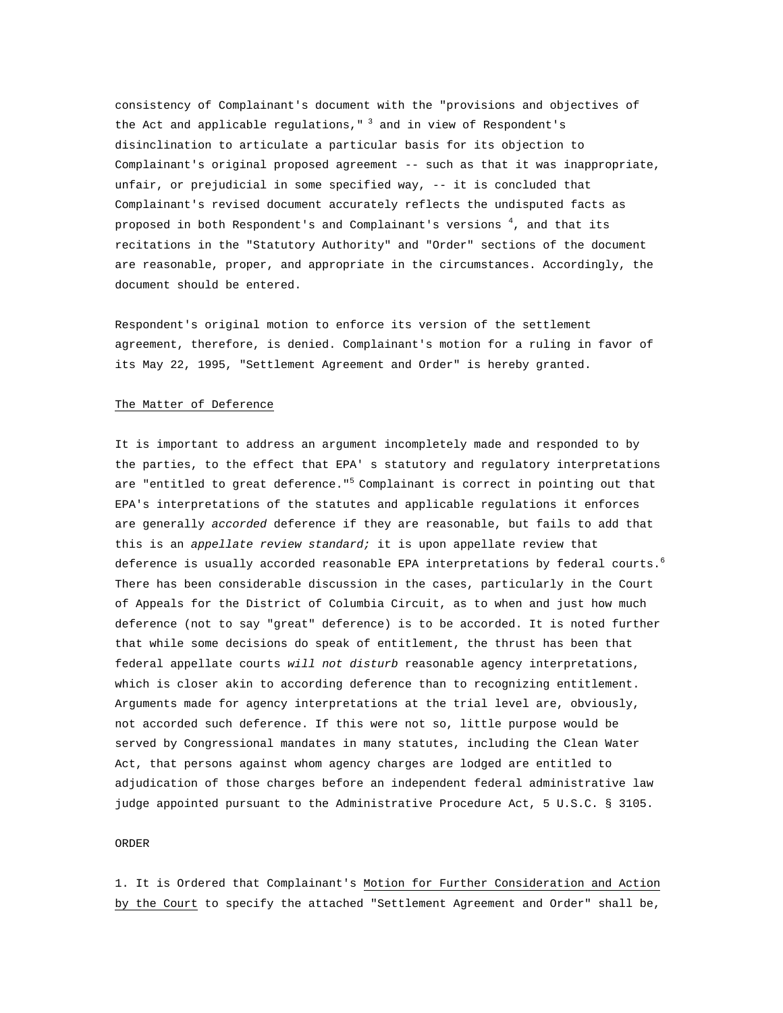consistency of Complainant's document with the "provisions and objectives of the Act and applicable regulations,  $"$  3 and in view of Respondent's disinclination to articulate a particular basis for its objection to Complainant's original proposed agreement -- such as that it was inappropriate, unfair, or prejudicial in some specified way, -- it is concluded that Complainant's revised document accurately reflects the undisputed facts as proposed in both Respondent's and Complainant's versions  $^4$ , and that its recitations in the "Statutory Authority" and "Order" sections of the document are reasonable, proper, and appropriate in the circumstances. Accordingly, the document should be entered.

Respondent's original motion to enforce its version of the settlement agreement, therefore, is denied. Complainant's motion for a ruling in favor of its May 22, 1995, "Settlement Agreement and Order" is hereby granted.

#### The Matter of Deference

It is important to address an argument incompletely made and responded to by the parties, to the effect that EPA' s statutory and regulatory interpretations are "entitled to great deference."<sup>5</sup> Complainant is correct in pointing out that EPA's interpretations of the statutes and applicable regulations it enforces are generally *accorded* deference if they are reasonable, but fails to add that this is an *appellate review standard;* it is upon appellate review that deference is usually accorded reasonable EPA interpretations by federal courts. $^6$ There has been considerable discussion in the cases, particularly in the Court of Appeals for the District of Columbia Circuit, as to when and just how much deference (not to say "great" deference) is to be accorded. It is noted further that while some decisions do speak of entitlement, the thrust has been that federal appellate courts *will not disturb* reasonable agency interpretations, which is closer akin to according deference than to recognizing entitlement. Arguments made for agency interpretations at the trial level are, obviously, not accorded such deference. If this were not so, little purpose would be served by Congressional mandates in many statutes, including the Clean Water Act, that persons against whom agency charges are lodged are entitled to adjudication of those charges before an independent federal administrative law judge appointed pursuant to the Administrative Procedure Act, 5 U.S.C. § 3105.

#### ORDER

1. It is Ordered that Complainant's Motion for Further Consideration and Action by the Court to specify the attached "Settlement Agreement and Order" shall be,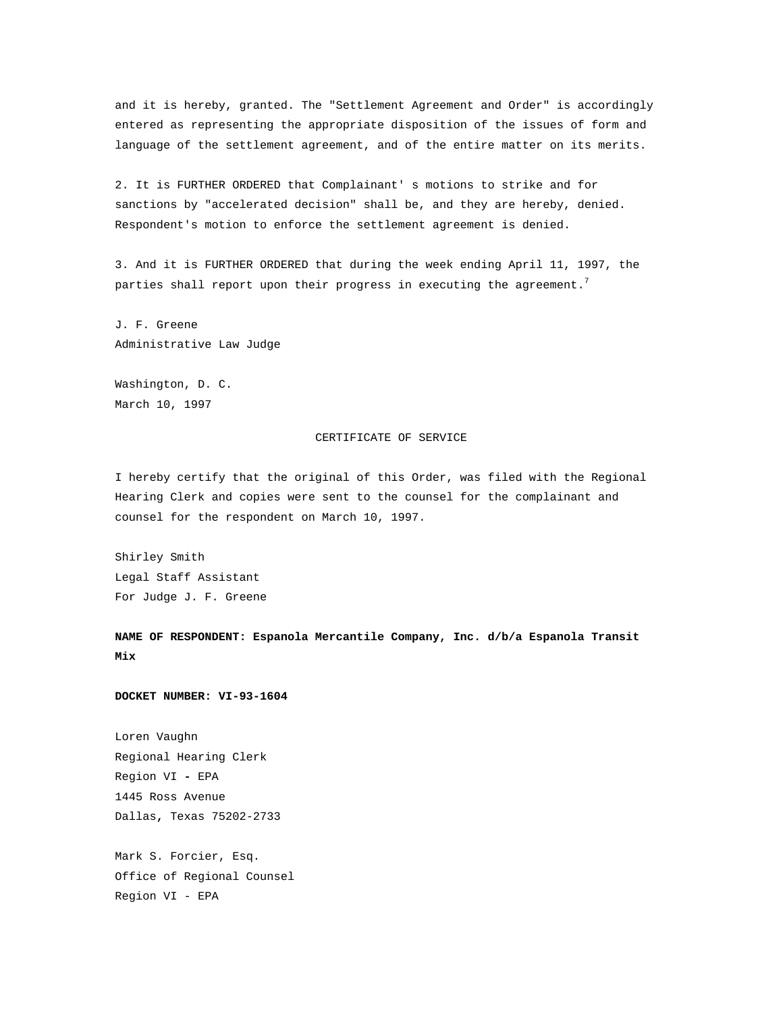and it is hereby, granted. The "Settlement Agreement and Order" is accordingly entered as representing the appropriate disposition of the issues of form and language of the settlement agreement, and of the entire matter on its merits.

2. It is FURTHER ORDERED that Complainant' s motions to strike and for sanctions by "accelerated decision" shall be, and they are hereby, denied. Respondent's motion to enforce the settlement agreement is denied.

3. And it is FURTHER ORDERED that during the week ending April 11, 1997, the parties shall report upon their progress in executing the agreement.<sup>7</sup>

J. F. Greene Administrative Law Judge

Washington, D. C. March 10, 1997

### CERTIFICATE OF SERVICE

I hereby certify that the original of this Order, was filed with the Regional Hearing Clerk and copies were sent to the counsel for the complainant and counsel for the respondent on March 10, 1997.

Shirley Smith Legal Staff Assistant For Judge J. F. Greene

**NAME OF RESPONDENT: Espanola Mercantile Company, Inc. d/b/a Espanola Transit Mix**

### **DOCKET NUMBER: VI-93-1604**

Loren Vaughn Regional Hearing Clerk Region VI **-** EPA 1445 Ross Avenue Dallas**,** Texas 75202-2733

Mark S. Forcier, Esq. Office of Regional Counsel Region VI - EPA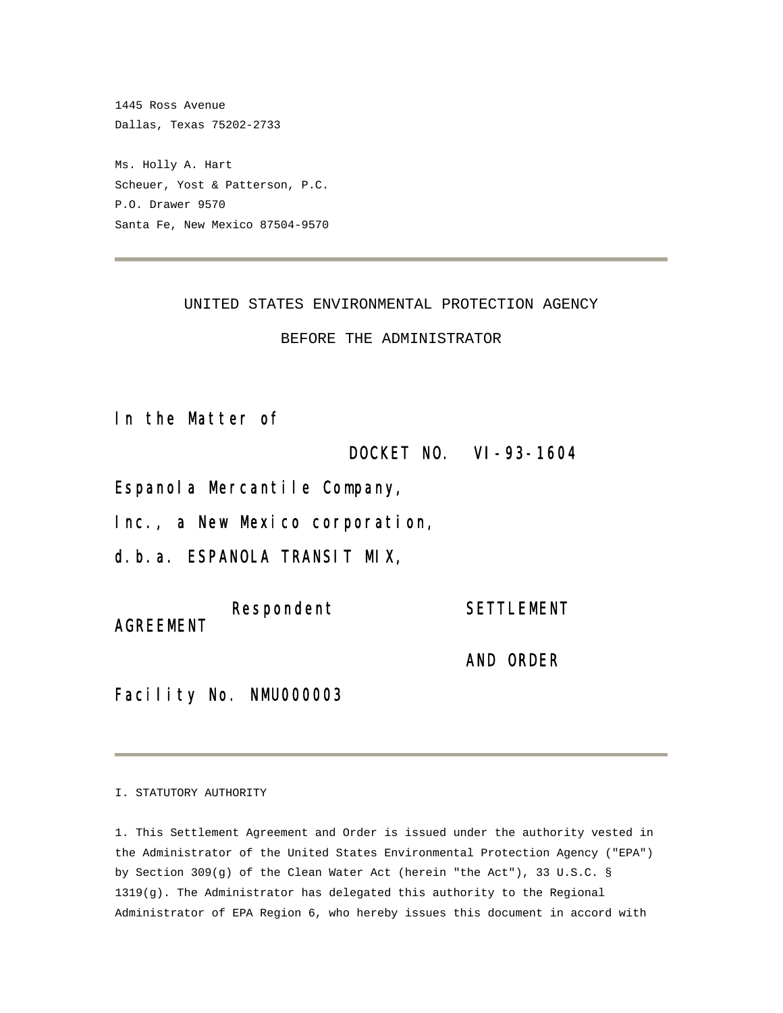1445 Ross Avenue Dallas, Texas 75202-2733 Ms. Holly A. Hart Scheuer, Yost & Patterson, P.C. P.O. Drawer 9570 Santa Fe, New Mexico 87504-9570

UNITED STATES ENVIRONMENTAL PROTECTION AGENCY

BEFORE THE ADMINISTRATOR

In the Matter of

DOCKET NO. VI-93-1604

Espanola Mercantile Company,

Inc., a New Mexico corporation,

d.b.a. ESPANOLA TRANSIT MIX,

Respondent SETTLEMENT AGREEMENT

AND ORDER

Facility No. NMU000003

I. STATUTORY AUTHORITY

1. This Settlement Agreement and Order is issued under the authority vested in the Administrator of the United States Environmental Protection Agency ("EPA") by Section 309(g) of the Clean Water Act (herein "the Act"), 33 U.S.C. § 1319(g). The Administrator has delegated this authority to the Regional Administrator of EPA Region 6, who hereby issues this document in accord with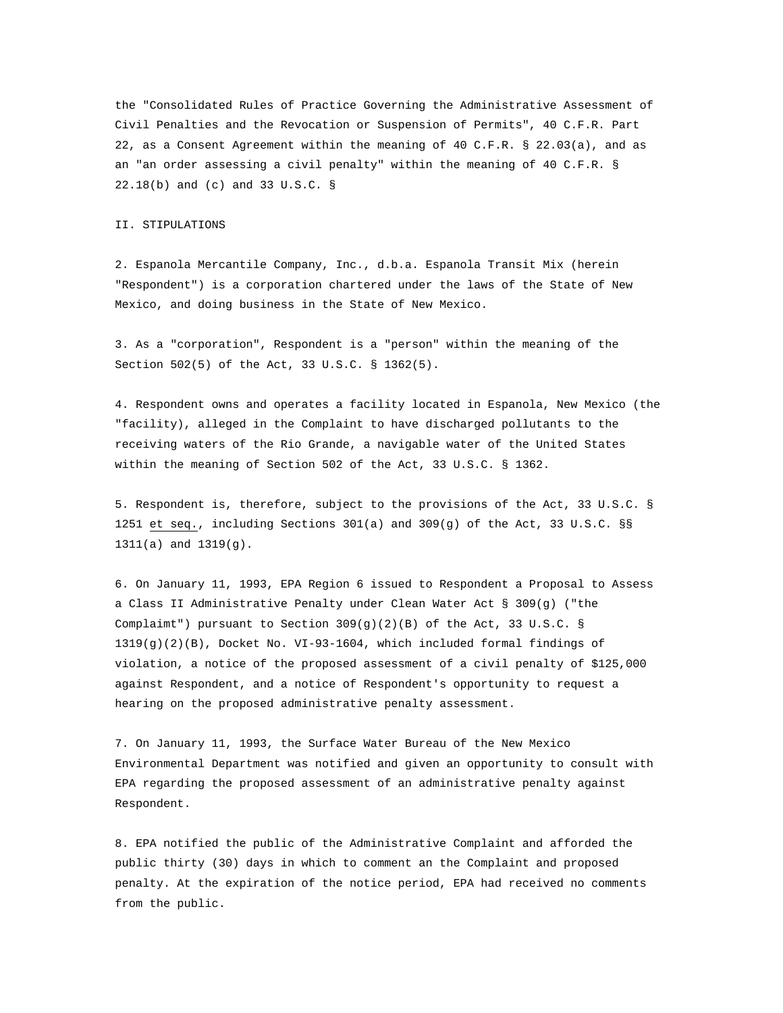the "Consolidated Rules of Practice Governing the Administrative Assessment of Civil Penalties and the Revocation or Suspension of Permits", 40 C.F.R. Part 22, as a Consent Agreement within the meaning of 40 C.F.R. § 22.03(a), and as an "an order assessing a civil penalty" within the meaning of 40 C.F.R. § 22.18(b) and (c) and 33 U.S.C. §

#### II. STIPULATIONS

2. Espanola Mercantile Company, Inc., d.b.a. Espanola Transit Mix (herein "Respondent") is a corporation chartered under the laws of the State of New Mexico, and doing business in the State of New Mexico.

3. As a "corporation", Respondent is a "person" within the meaning of the Section 502(5) of the Act, 33 U.S.C. § 1362(5).

4. Respondent owns and operates a facility located in Espanola, New Mexico (the "facility), alleged in the Complaint to have discharged pollutants to the receiving waters of the Rio Grande, a navigable water of the United States within the meaning of Section 502 of the Act, 33 U.S.C. § 1362.

5. Respondent is, therefore, subject to the provisions of the Act, 33 U.S.C. § 1251 et seq., including Sections 301(a) and 309(g) of the Act, 33 U.S.C. §§ 1311(a) and 1319(g).

6. On January 11, 1993, EPA Region 6 issued to Respondent a Proposal to Assess a Class II Administrative Penalty under Clean Water Act § 309(g) ("the Complaimt") pursuant to Section  $309(g)(2)(B)$  of the Act, 33 U.S.C. § 1319(g)(2)(B), Docket No. VI-93-1604, which included formal findings of violation, a notice of the proposed assessment of a civil penalty of \$125,000 against Respondent, and a notice of Respondent's opportunity to request a hearing on the proposed administrative penalty assessment.

7. On January 11, 1993, the Surface Water Bureau of the New Mexico Environmental Department was notified and given an opportunity to consult with EPA regarding the proposed assessment of an administrative penalty against Respondent.

8. EPA notified the public of the Administrative Complaint and afforded the public thirty (30) days in which to comment an the Complaint and proposed penalty. At the expiration of the notice period, EPA had received no comments from the public.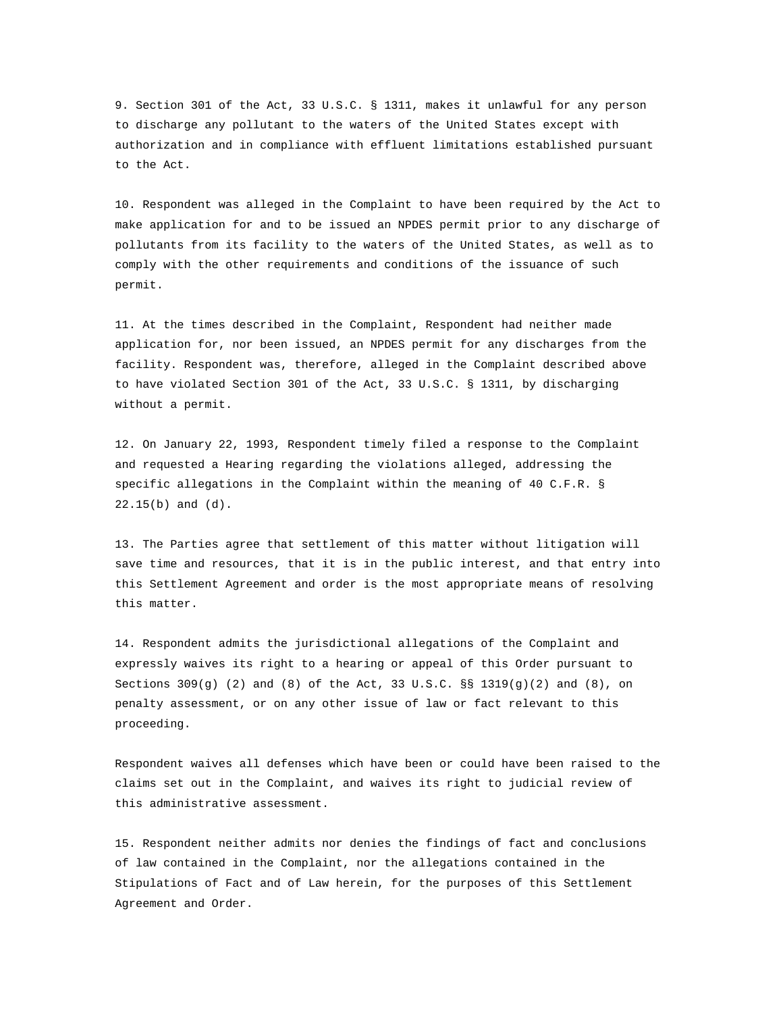9. Section 301 of the Act, 33 U.S.C. § 1311, makes it unlawful for any person to discharge any pollutant to the waters of the United States except with authorization and in compliance with effluent limitations established pursuant to the Act.

10. Respondent was alleged in the Complaint to have been required by the Act to make application for and to be issued an NPDES permit prior to any discharge of pollutants from its facility to the waters of the United States, as well as to comply with the other requirements and conditions of the issuance of such permit.

11. At the times described in the Complaint, Respondent had neither made application for, nor been issued, an NPDES permit for any discharges from the facility. Respondent was, therefore, alleged in the Complaint described above to have violated Section 301 of the Act, 33 U.S.C. § 1311, by discharging without a permit.

12. On January 22, 1993, Respondent timely filed a response to the Complaint and requested a Hearing regarding the violations alleged, addressing the specific allegations in the Complaint within the meaning of 40 C.F.R. § 22.15(b) and (d).

13. The Parties agree that settlement of this matter without litigation will save time and resources, that it is in the public interest, and that entry into this Settlement Agreement and order is the most appropriate means of resolving this matter.

14. Respondent admits the jurisdictional allegations of the Complaint and expressly waives its right to a hearing or appeal of this Order pursuant to Sections  $309(g)$  (2) and (8) of the Act, 33 U.S.C. §§ 1319(g)(2) and (8), on penalty assessment, or on any other issue of law or fact relevant to this proceeding.

Respondent waives all defenses which have been or could have been raised to the claims set out in the Complaint, and waives its right to judicial review of this administrative assessment.

15. Respondent neither admits nor denies the findings of fact and conclusions of law contained in the Complaint, nor the allegations contained in the Stipulations of Fact and of Law herein, for the purposes of this Settlement Agreement and Order.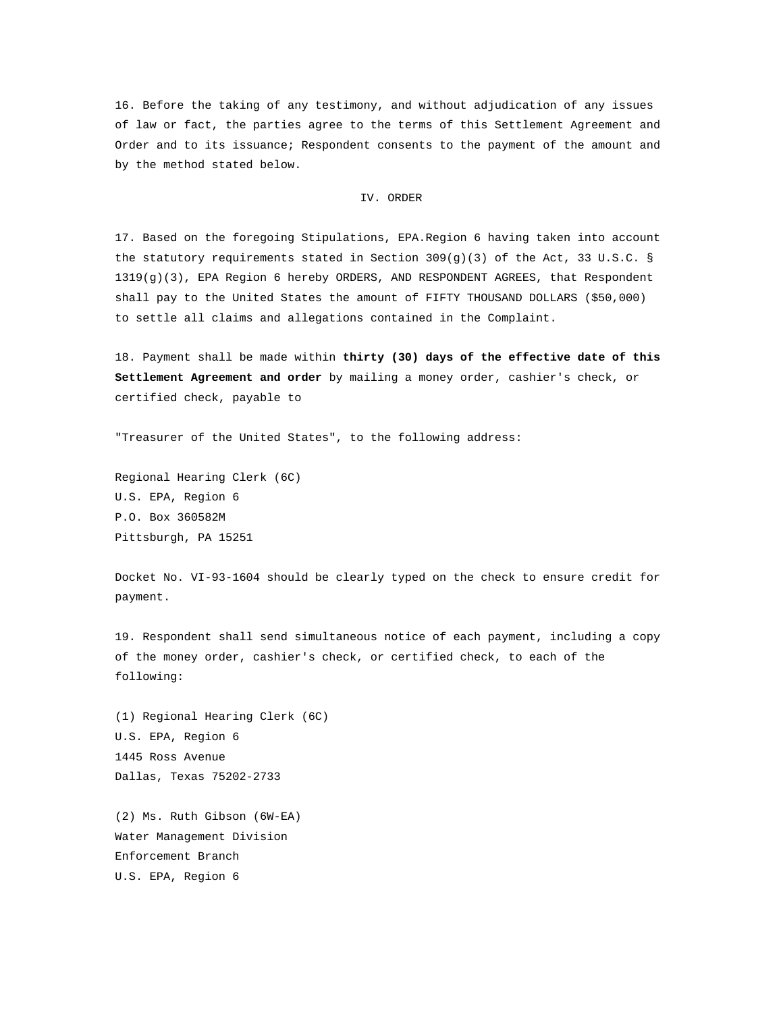16. Before the taking of any testimony, and without adjudication of any issues of law or fact, the parties agree to the terms of this Settlement Agreement and Order and to its issuance; Respondent consents to the payment of the amount and by the method stated below.

### IV. ORDER

17. Based on the foregoing Stipulations, EPA.Region 6 having taken into account the statutory requirements stated in Section  $309(g)(3)$  of the Act, 33 U.S.C. § 1319(g)(3), EPA Region 6 hereby ORDERS, AND RESPONDENT AGREES, that Respondent shall pay to the United States the amount of FIFTY THOUSAND DOLLARS (\$50,000) to settle all claims and allegations contained in the Complaint.

18. Payment shall be made within **thirty (30) days of the effective date of this Settlement Agreement and order** by mailing a money order, cashier's check, or certified check, payable to

"Treasurer of the United States", to the following address:

Regional Hearing Clerk (6C) U.S. EPA, Region 6 P.O. Box 360582M Pittsburgh, PA 15251

Docket No. VI-93-1604 should be clearly typed on the check to ensure credit for payment.

19. Respondent shall send simultaneous notice of each payment, including a copy of the money order, cashier's check, or certified check, to each of the following:

(1) Regional Hearing Clerk (6C) U.S. EPA, Region 6 1445 Ross Avenue Dallas, Texas 75202-2733

(2) Ms. Ruth Gibson (6W-EA) Water Management Division Enforcement Branch U.S. EPA, Region 6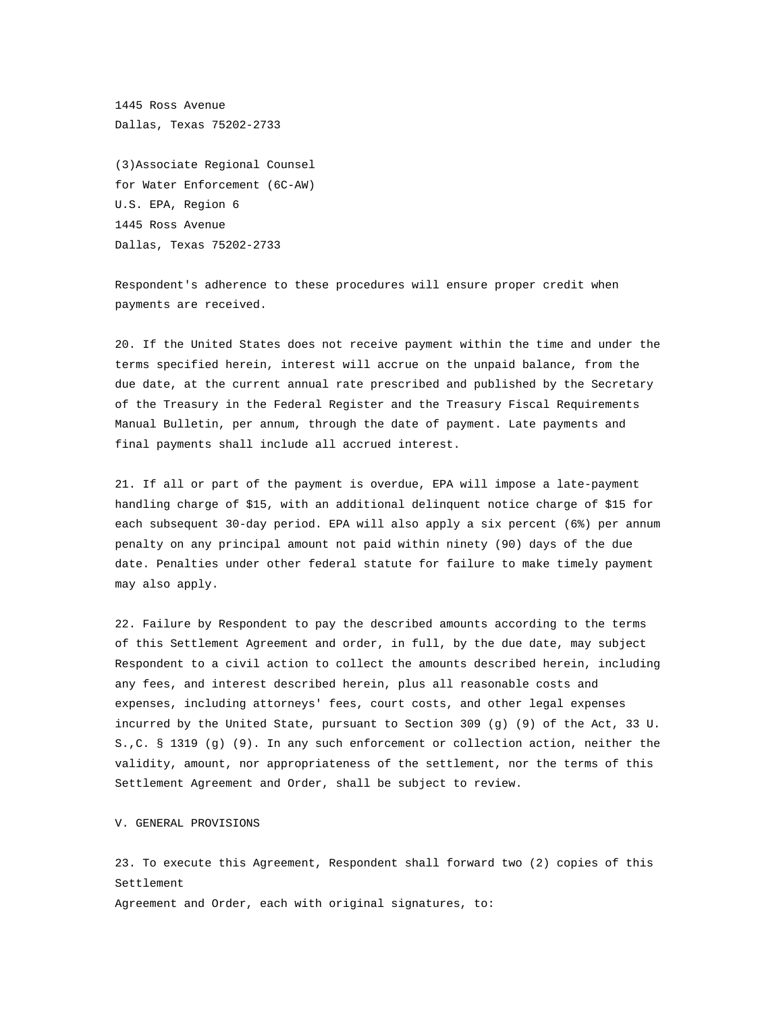1445 Ross Avenue Dallas, Texas 75202-2733

(3)Associate Regional Counsel for Water Enforcement (6C-AW) U.S. EPA, Region 6 1445 Ross Avenue Dallas, Texas 75202-2733

Respondent's adherence to these procedures will ensure proper credit when payments are received.

20. If the United States does not receive payment within the time and under the terms specified herein, interest will accrue on the unpaid balance, from the due date, at the current annual rate prescribed and published by the Secretary of the Treasury in the Federal Register and the Treasury Fiscal Requirements Manual Bulletin, per annum, through the date of payment. Late payments and final payments shall include all accrued interest.

21. If all or part of the payment is overdue, EPA will impose a late-payment handling charge of \$15, with an additional delinquent notice charge of \$15 for each subsequent 30-day period. EPA will also apply a six percent (6%) per annum penalty on any principal amount not paid within ninety (90) days of the due date. Penalties under other federal statute for failure to make timely payment may also apply.

22. Failure by Respondent to pay the described amounts according to the terms of this Settlement Agreement and order, in full, by the due date, may subject Respondent to a civil action to collect the amounts described herein, including any fees, and interest described herein, plus all reasonable costs and expenses, including attorneys' fees, court costs, and other legal expenses incurred by the United State, pursuant to Section 309 (g) (9) of the Act, 33 U. S.,C. § 1319 (g) (9). In any such enforcement or collection action, neither the validity, amount, nor appropriateness of the settlement, nor the terms of this Settlement Agreement and Order, shall be subject to review.

V. GENERAL PROVISIONS

23. To execute this Agreement, Respondent shall forward two (2) copies of this Settlement

Agreement and Order, each with original signatures, to: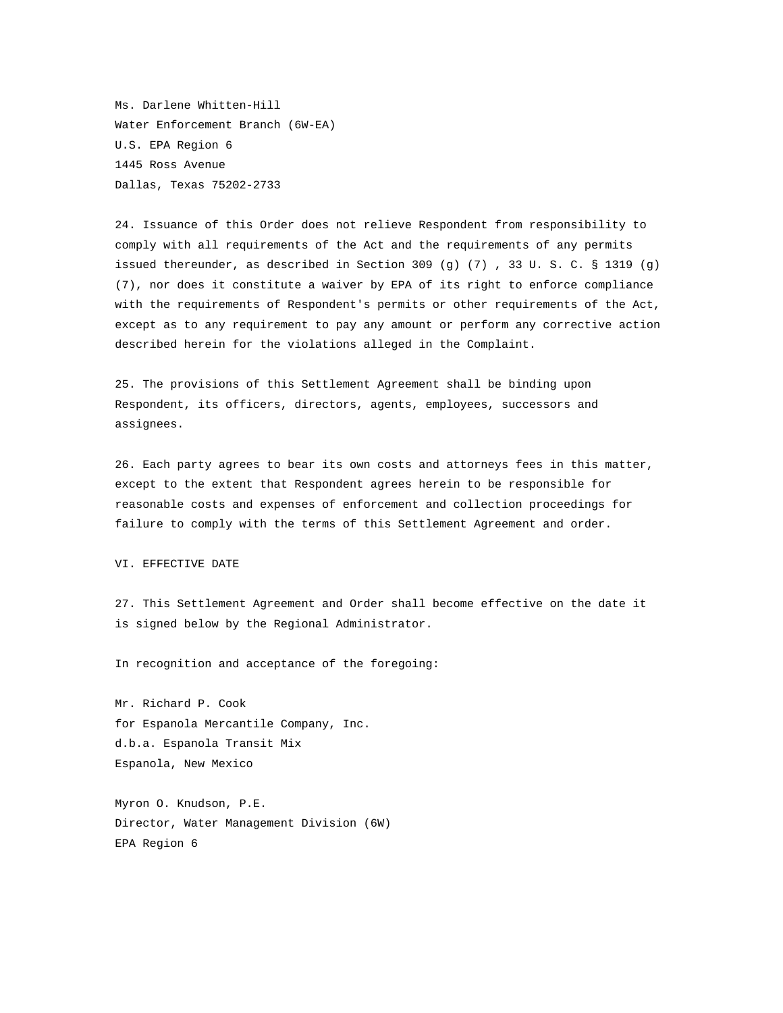Ms. Darlene Whitten-Hill Water Enforcement Branch (6W-EA) U.S. EPA Region 6 1445 Ross Avenue Dallas, Texas 75202-2733

24. Issuance of this Order does not relieve Respondent from responsibility to comply with all requirements of the Act and the requirements of any permits issued thereunder, as described in Section 309 (g) (7) , 33 U. S. C. § 1319 (g) (7), nor does it constitute a waiver by EPA of its right to enforce compliance with the requirements of Respondent's permits or other requirements of the Act, except as to any requirement to pay any amount or perform any corrective action described herein for the violations alleged in the Complaint.

25. The provisions of this Settlement Agreement shall be binding upon Respondent, its officers, directors, agents, employees, successors and assignees.

26. Each party agrees to bear its own costs and attorneys fees in this matter, except to the extent that Respondent agrees herein to be responsible for reasonable costs and expenses of enforcement and collection proceedings for failure to comply with the terms of this Settlement Agreement and order.

### VI. EFFECTIVE DATE

27. This Settlement Agreement and Order shall become effective on the date it is signed below by the Regional Administrator.

In recognition and acceptance of the foregoing:

Mr. Richard P. Cook for Espanola Mercantile Company, Inc. d.b.a. Espanola Transit Mix Espanola, New Mexico

Myron O. Knudson, P.E. Director, Water Management Division (6W) EPA Region 6